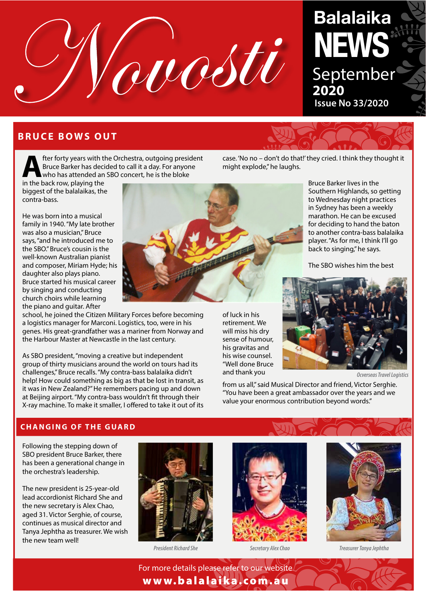

# **Balalaika NEWS** September **2020 Issue No 33/2020**

# **BRUCE BOWS OUT**

**After forty years with the Orchestra, outgoing president<br>Bruce Barker has decided to call it a day. For anyone<br>who has attended an SBO concert, he is the bloke<br>in the back row playing the** Bruce Barker has decided to call it a day. For anyone who has attended an SBO concert, he is the bloke

in the back row, playing the biggest of the balalaikas, the contra-bass.

He was born into a musical family in 1940. "My late brother was also a musician," Bruce says, "and he introduced me to the SBO." Bruce's cousin is the well-known Australian pianist and composer, Miriam Hyde; his daughter also plays piano. Bruce started his musical career by singing and conducting church choirs while learning the piano and guitar. After

school, he joined the Citizen Military Forces before becoming a logistics manager for Marconi. Logistics, too, were in his genes. His great-grandfather was a mariner from Norway and the Harbour Master at Newcastle in the last century.

As SBO president, "moving a creative but independent group of thirty musicians around the world on tours had its challenges," Bruce recalls. "My contra-bass balalaika didn't help! How could something as big as that be lost in transit, as it was in New Zealand?" He remembers pacing up and down at Beijing airport. "My contra-bass wouldn't ft through their X-ray machine. To make it smaller, I ofered to take it out of its

of luck in his retirement. We will miss his dry sense of humour, his gravitas and his wise counsel. "Well done Bruce

case. 'No no – don't do that!' they cried. I think they thought it might explode," he laughs.

> Bruce Barker lives in the Southern Highlands, so getting to Wednesday night practices in Sydney has been a weekly marathon. He can be excused for deciding to hand the baton to another contra-bass balalaika player. "As for me, I think I'll go back to singing," he says.

The SBO wishes him the best



from us all," said Musical Director and friend, Victor Serghie. "You have been a great ambassador over the years and we value your enormous contribution beyond words."

#### **CHANGING OF THE GUARD**

Following the stepping down of SBO president Bruce Barker, there has been a generational change in the orchestra's leadership.

The new president is 25-year-old lead accordionist Richard She and the new secretary is Alex Chao, aged 31. Victor Serghie, of course, continues as musical director and Tanya Jephtha as treasurer. We wish the new team well!







*President Richard She Secretary Alex Chao Treasurer Tanya Jephtha*

For more details please refer to our website www.balalaika.com.au